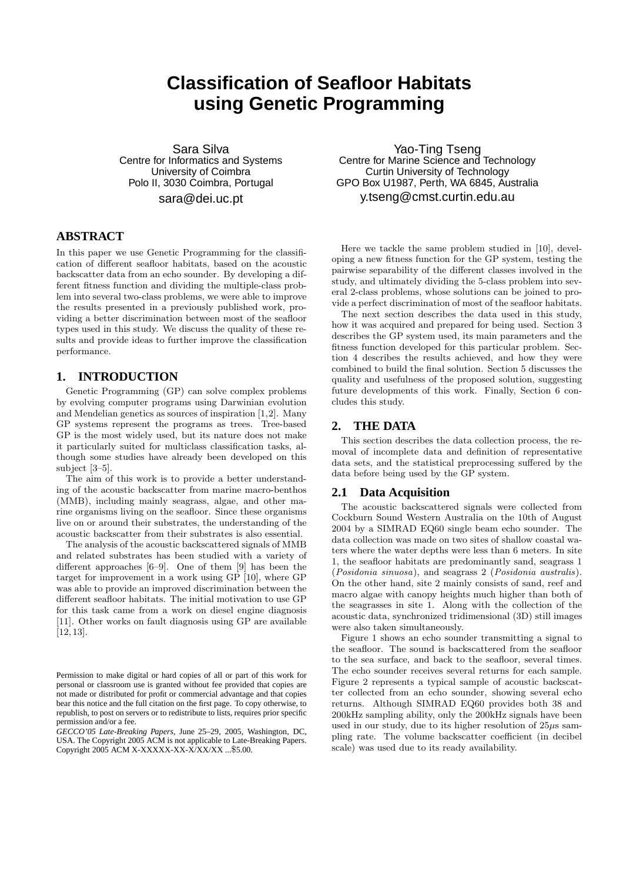# **Classification of Seafloor Habitats using Genetic Programming**

Sara Silva Centre for Informatics and Systems University of Coimbra Polo II, 3030 Coimbra, Portugal

sara@dei.uc.pt

# **ABSTRACT**

In this paper we use Genetic Programming for the classification of different seafloor habitats, based on the acoustic backscatter data from an echo sounder. By developing a different fitness function and dividing the multiple-class problem into several two-class problems, we were able to improve the results presented in a previously published work, providing a better discrimination between most of the seafloor types used in this study. We discuss the quality of these results and provide ideas to further improve the classification performance.

## **1. INTRODUCTION**

Genetic Programming (GP) can solve complex problems by evolving computer programs using Darwinian evolution and Mendelian genetics as sources of inspiration [1,2]. Many GP systems represent the programs as trees. Tree-based GP is the most widely used, but its nature does not make it particularly suited for multiclass classification tasks, although some studies have already been developed on this subject [3–5].

The aim of this work is to provide a better understanding of the acoustic backscatter from marine macro-benthos (MMB), including mainly seagrass, algae, and other marine organisms living on the seafloor. Since these organisms live on or around their substrates, the understanding of the acoustic backscatter from their substrates is also essential.

The analysis of the acoustic backscattered signals of MMB and related substrates has been studied with a variety of different approaches [6–9]. One of them [9] has been the target for improvement in a work using GP [10], where GP was able to provide an improved discrimination between the different seafloor habitats. The initial motivation to use GP for this task came from a work on diesel engine diagnosis [11]. Other works on fault diagnosis using GP are available [12, 13].

Yao-Ting Tseng Centre for Marine Science and Technology Curtin University of Technology GPO Box U1987, Perth, WA 6845, Australia y.tseng@cmst.curtin.edu.au

Here we tackle the same problem studied in [10], developing a new fitness function for the GP system, testing the pairwise separability of the different classes involved in the study, and ultimately dividing the 5-class problem into several 2-class problems, whose solutions can be joined to provide a perfect discrimination of most of the seafloor habitats.

The next section describes the data used in this study, how it was acquired and prepared for being used. Section 3 describes the GP system used, its main parameters and the fitness function developed for this particular problem. Section 4 describes the results achieved, and how they were combined to build the final solution. Section 5 discusses the quality and usefulness of the proposed solution, suggesting future developments of this work. Finally, Section 6 concludes this study.

### **2. THE DATA**

This section describes the data collection process, the removal of incomplete data and definition of representative data sets, and the statistical preprocessing suffered by the data before being used by the GP system.

### **2.1 Data Acquisition**

The acoustic backscattered signals were collected from Cockburn Sound Western Australia on the 10th of August 2004 by a SIMRAD EQ60 single beam echo sounder. The data collection was made on two sites of shallow coastal waters where the water depths were less than 6 meters. In site 1, the seafloor habitats are predominantly sand, seagrass 1 (Posidonia sinuosa), and seagrass 2 (Posidonia australis). On the other hand, site 2 mainly consists of sand, reef and macro algae with canopy heights much higher than both of the seagrasses in site 1. Along with the collection of the acoustic data, synchronized tridimensional (3D) still images were also taken simultaneously.

Figure 1 shows an echo sounder transmitting a signal to the seafloor. The sound is backscattered from the seafloor to the sea surface, and back to the seafloor, several times. The echo sounder receives several returns for each sample. Figure 2 represents a typical sample of acoustic backscatter collected from an echo sounder, showing several echo returns. Although SIMRAD EQ60 provides both 38 and 200kHz sampling ability, only the 200kHz signals have been used in our study, due to its higher resolution of  $25\mu s$  sampling rate. The volume backscatter coefficient (in decibel scale) was used due to its ready availability.

Permission to make digital or hard copies of all or part of this work for personal or classroom use is granted without fee provided that copies are not made or distributed for profit or commercial advantage and that copies bear this notice and the full citation on the first page. To copy otherwise, to republish, to post on servers or to redistribute to lists, requires prior specific permission and/or a fee.

*GECCO'05 Late-Breaking Papers,* June 25–29, 2005, Washington, DC, USA. The Copyright 2005 ACM is not applicable to Late-Breaking Papers. Copyright 2005 ACM X-XXXXX-XX-X/XX/XX ...\$5.00.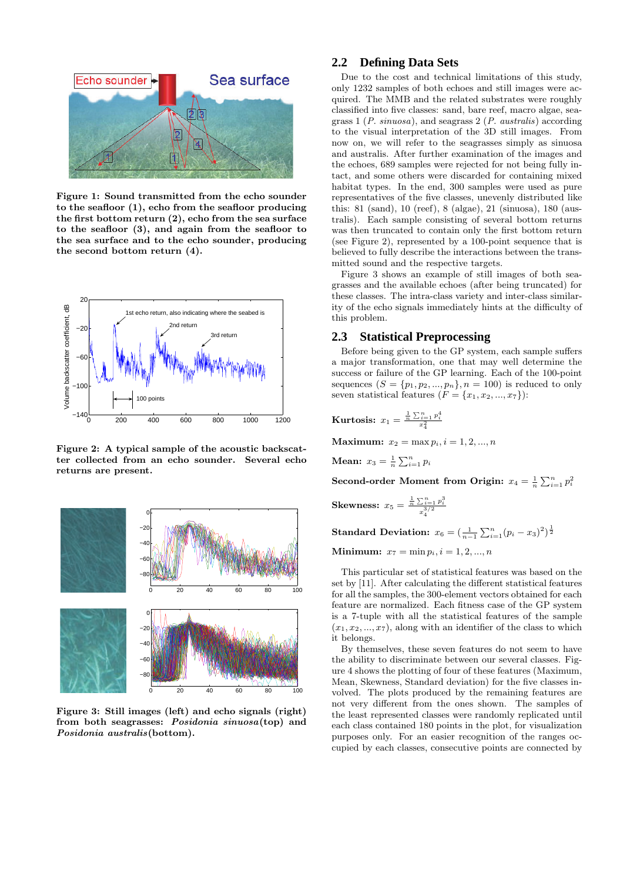

Figure 1: Sound transmitted from the echo sounder to the seafloor (1), echo from the seafloor producing the first bottom return (2), echo from the sea surface to the seafloor (3), and again from the seafloor to the sea surface and to the echo sounder, producing the second bottom return (4).



Figure 2: A typical sample of the acoustic backscatter collected from an echo sounder. Several echo returns are present.



Figure 3: Still images (left) and echo signals (right) from both seagrasses: Posidonia sinuosa(top) and Posidonia australis(bottom).

# **2.2 Defining Data Sets**

Due to the cost and technical limitations of this study, only 1232 samples of both echoes and still images were acquired. The MMB and the related substrates were roughly classified into five classes: sand, bare reef, macro algae, seagrass  $1 (P. sinuosa)$ , and seagrass  $2 (P. australis)$  according to the visual interpretation of the 3D still images. From now on, we will refer to the seagrasses simply as sinuosa and australis. After further examination of the images and the echoes, 689 samples were rejected for not being fully intact, and some others were discarded for containing mixed habitat types. In the end, 300 samples were used as pure representatives of the five classes, unevenly distributed like this: 81 (sand), 10 (reef), 8 (algae), 21 (sinuosa), 180 (australis). Each sample consisting of several bottom returns was then truncated to contain only the first bottom return (see Figure 2), represented by a 100-point sequence that is believed to fully describe the interactions between the transmitted sound and the respective targets.

Figure 3 shows an example of still images of both seagrasses and the available echoes (after being truncated) for these classes. The intra-class variety and inter-class similarity of the echo signals immediately hints at the difficulty of this problem.

# **2.3 Statistical Preprocessing**

Before being given to the GP system, each sample suffers a major transformation, one that may well determine the success or failure of the GP learning. Each of the 100-point sequences  $(S = \{p_1, p_2, ..., p_n\}, n = 100)$  is reduced to only seven statistical features  $(F = \{x_1, x_2, ..., x_7\})$ :

Kurtosis: 
$$
x_1 = \frac{\frac{1}{n} \sum_{i=1}^n p_i^4}{x_4^2}
$$

Maximum:  $x_2 = \max p_i, i = 1, 2, ..., n$ 

**Mean:**  $x_3 = \frac{1}{n} \sum_{i=1}^n p_i$ 

Second-order Moment from Origin:  $x_4 = \frac{1}{n} \sum_{i=1}^n p_i^2$ 

Skewness: 
$$
x_5 = \frac{\frac{1}{n} \sum_{i=1}^{n} p_i^3}{\frac{x_4^{3/2}}{2}}
$$

Standard Deviation:  $x_6 = (\frac{1}{n-1} \sum_{i=1}^{n} (p_i - x_3)^2)^{\frac{1}{2}}$ 

Minimum:  $x_7 = \min p_i, i = 1, 2, ..., n$ 

This particular set of statistical features was based on the set by [11]. After calculating the different statistical features for all the samples, the 300-element vectors obtained for each feature are normalized. Each fitness case of the GP system is a 7-tuple with all the statistical features of the sample  $(x_1, x_2, \ldots, x_7)$ , along with an identifier of the class to which it belongs.

By themselves, these seven features do not seem to have the ability to discriminate between our several classes. Figure 4 shows the plotting of four of these features (Maximum, Mean, Skewness, Standard deviation) for the five classes involved. The plots produced by the remaining features are not very different from the ones shown. The samples of the least represented classes were randomly replicated until each class contained 180 points in the plot, for visualization purposes only. For an easier recognition of the ranges occupied by each classes, consecutive points are connected by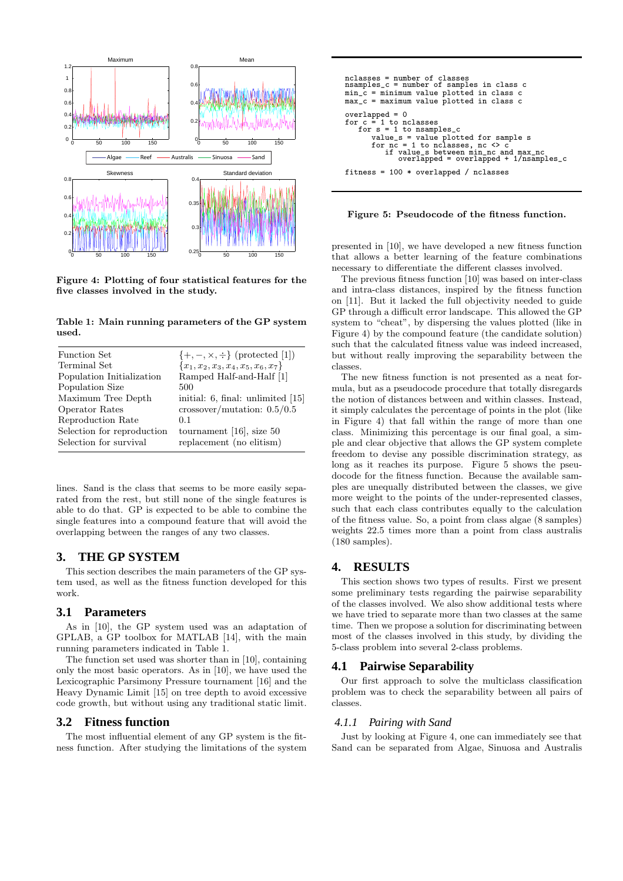

Figure 4: Plotting of four statistical features for the five classes involved in the study.

Table 1: Main running parameters of the GP system used.

| <b>Function Set</b>        | $\{+, -, \times, \div\}$ (protected [1]) |
|----------------------------|------------------------------------------|
| Terminal Set               | ${x_1, x_2, x_3, x_4, x_5, x_6, x_7}$    |
| Population Initialization  | Ramped Half-and-Half [1]                 |
| Population Size            | 500                                      |
| Maximum Tree Depth         | initial: 6, final: unlimited [15]        |
| Operator Rates             | crossover/mutation: $0.5/0.5$            |
| Reproduction Rate          | 0.1                                      |
| Selection for reproduction | tournament $[16]$ , size 50              |
| Selection for survival     | replacement (no elitism)                 |
|                            |                                          |

lines. Sand is the class that seems to be more easily separated from the rest, but still none of the single features is able to do that. GP is expected to be able to combine the single features into a compound feature that will avoid the overlapping between the ranges of any two classes.

# **3. THE GP SYSTEM**

This section describes the main parameters of the GP system used, as well as the fitness function developed for this work.

# **3.1 Parameters**

As in [10], the GP system used was an adaptation of GPLAB, a GP toolbox for MATLAB [14], with the main running parameters indicated in Table 1.

The function set used was shorter than in [10], containing only the most basic operators. As in [10], we have used the Lexicographic Parsimony Pressure tournament [16] and the Heavy Dynamic Limit [15] on tree depth to avoid excessive code growth, but without using any traditional static limit.

### **3.2 Fitness function**

The most influential element of any GP system is the fitness function. After studying the limitations of the system

| nclasses = number of classes<br>nsamples_c = number of samples in class c<br>min_c = minimum value plotted in class c<br>max_c = maximum value plotted in class c                                                                             |
|-----------------------------------------------------------------------------------------------------------------------------------------------------------------------------------------------------------------------------------------------|
| $overlapped = 0$<br>for $c = 1$ to nclasses<br>for $s = 1$ to nsamples_c<br>value_s = value plotted for sample s<br>for $nc = 1$ to nclasses, $nc \ge c$<br>if value_s between min_nc and max_nc<br>overlapped = overlapped + $1/n$ samples_c |
| fitness = $100 *$ overlapped / nclasses                                                                                                                                                                                                       |

#### Figure 5: Pseudocode of the fitness function.

presented in [10], we have developed a new fitness function that allows a better learning of the feature combinations necessary to differentiate the different classes involved.

The previous fitness function [10] was based on inter-class and intra-class distances, inspired by the fitness function on [11]. But it lacked the full objectivity needed to guide GP through a difficult error landscape. This allowed the GP system to "cheat", by dispersing the values plotted (like in Figure 4) by the compound feature (the candidate solution) such that the calculated fitness value was indeed increased, but without really improving the separability between the classes.

The new fitness function is not presented as a neat formula, but as a pseudocode procedure that totally disregards the notion of distances between and within classes. Instead, it simply calculates the percentage of points in the plot (like in Figure 4) that fall within the range of more than one class. Minimizing this percentage is our final goal, a simple and clear objective that allows the GP system complete freedom to devise any possible discrimination strategy, as long as it reaches its purpose. Figure 5 shows the pseudocode for the fitness function. Because the available samples are unequally distributed between the classes, we give more weight to the points of the under-represented classes, such that each class contributes equally to the calculation of the fitness value. So, a point from class algae (8 samples) weights 22.5 times more than a point from class australis (180 samples).

# **4. RESULTS**

This section shows two types of results. First we present some preliminary tests regarding the pairwise separability of the classes involved. We also show additional tests where we have tried to separate more than two classes at the same time. Then we propose a solution for discriminating between most of the classes involved in this study, by dividing the 5-class problem into several 2-class problems.

# **4.1 Pairwise Separability**

Our first approach to solve the multiclass classification problem was to check the separability between all pairs of classes.

#### *4.1.1 Pairing with Sand*

Just by looking at Figure 4, one can immediately see that Sand can be separated from Algae, Sinuosa and Australis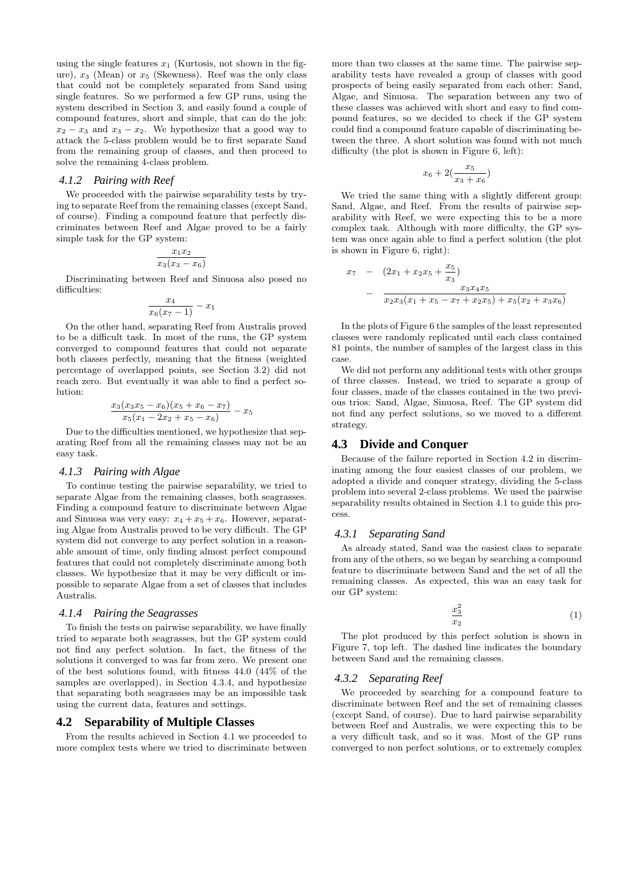using the single features  $x_1$  (Kurtosis, not shown in the figure),  $x_3$  (Mean) or  $x_5$  (Skewness). Reef was the only class that could not be completely separated from Sand using single features. So we performed a few GP runs, using the system described in Section 3, and easily found a couple of compound features, short and simple, that can do the job:  $x_2 - x_3$  and  $x_3 - x_2$ . We hypothesize that a good way to attack the 5-class problem would be to first separate Sand from the remaining group of classes, and then proceed to solve the remaining 4-class problem.

#### *4.1.2 Pairing with Reef*

We proceeded with the pairwise separability tests by trying to separate Reef from the remaining classes (except Sand, of course). Finding a compound feature that perfectly discriminates between Reef and Algae proved to be a fairly simple task for the GP system:

$$
\frac{x_1x_2}{x_3(x_3-x_6)}
$$

Discriminating between Reef and Sinuosa also posed no difficulties:

$$
\frac{x_4}{x_6(x_7-1)} - x_1
$$

On the other hand, separating Reef from Australis proved to be a difficult task. In most of the runs, the GP system converged to compound features that could not separate both classes perfectly, meaning that the fitness (weighted percentage of overlapped points, see Section 3.2) did not reach zero. But eventually it was able to find a perfect solution:

$$
\frac{x_3(x_3x_5-x_6)(x_5+x_6-x_7)}{x_5(x_1-2x_2+x_5-x_6)}-x_5
$$

Due to the difficulties mentioned, we hypothesize that separating Reef from all the remaining classes may not be an easy task.

#### *4.1.3 Pairing with Algae*

To continue testing the pairwise separability, we tried to separate Algae from the remaining classes, both seagrasses. Finding a compound feature to discriminate between Algae and Sinuosa was very easy:  $x_4 + x_5 + x_6$ . However, separating Algae from Australis proved to be very difficult. The GP system did not converge to any perfect solution in a reasonable amount of time, only finding almost perfect compound features that could not completely discriminate among both classes. We hypothesize that it may be very difficult or impossible to separate Algae from a set of classes that includes Australis.

#### *4.1.4 Pairing the Seagrasses*

To finish the tests on pairwise separability, we have finally tried to separate both seagrasses, but the GP system could not find any perfect solution. In fact, the fitness of the solutions it converged to was far from zero. We present one of the best solutions found, with fitness 44.0 (44% of the samples are overlapped), in Section 4.3.4, and hypothesize that separating both seagrasses may be an impossible task using the current data, features and settings.

#### **4.2 Separability of Multiple Classes**

From the results achieved in Section 4.1 we proceeded to more complex tests where we tried to discriminate between

more than two classes at the same time. The pairwise separability tests have revealed a group of classes with good prospects of being easily separated from each other: Sand, Algae, and Sinuosa. The separation between any two of these classes was achieved with short and easy to find compound features, so we decided to check if the GP system could find a compound feature capable of discriminating between the three. A short solution was found with not much difficulty (the plot is shown in Figure 6, left):

$$
x_6 + 2(\frac{x_5}{x_3 + x_6})
$$

We tried the same thing with a slightly different group: Sand, Algae, and Reef. From the results of pairwise separability with Reef, we were expecting this to be a more complex task. Although with more difficulty, the GP system was once again able to find a perfect solution (the plot is shown in Figure 6, right):

$$
x_7 - (2x_1 + x_2x_5 + \frac{x_5}{x_3})
$$
  
- 
$$
\frac{x_3x_4x_5}{x_2x_3(x_1 + x_5 - x_7 + x_2x_5) + x_5(x_2 + x_3x_6)}
$$

In the plots of Figure 6 the samples of the least represented classes were randomly replicated until each class contained 81 points, the number of samples of the largest class in this case.

We did not perform any additional tests with other groups of three classes. Instead, we tried to separate a group of four classes, made of the classes contained in the two previous trios: Sand, Algae, Sinuosa, Reef. The GP system did not find any perfect solutions, so we moved to a different strategy.

# **4.3 Divide and Conquer**

Because of the failure reported in Section 4.2 in discriminating among the four easiest classes of our problem, we adopted a divide and conquer strategy, dividing the 5-class problem into several 2-class problems. We used the pairwise separability results obtained in Section 4.1 to guide this process.

#### *4.3.1 Separating Sand*

As already stated, Sand was the easiest class to separate from any of the others, so we began by searching a compound feature to discriminate between Sand and the set of all the remaining classes. As expected, this was an easy task for our GP system:

$$
\frac{x_3^2}{x_2} \tag{1}
$$

The plot produced by this perfect solution is shown in Figure 7, top left. The dashed line indicates the boundary between Sand and the remaining classes.

#### *4.3.2 Separating Reef*

We proceeded by searching for a compound feature to discriminate between Reef and the set of remaining classes (except Sand, of course). Due to hard pairwise separability between Reef and Australis, we were expecting this to be a very difficult task, and so it was. Most of the GP runs converged to non perfect solutions, or to extremely complex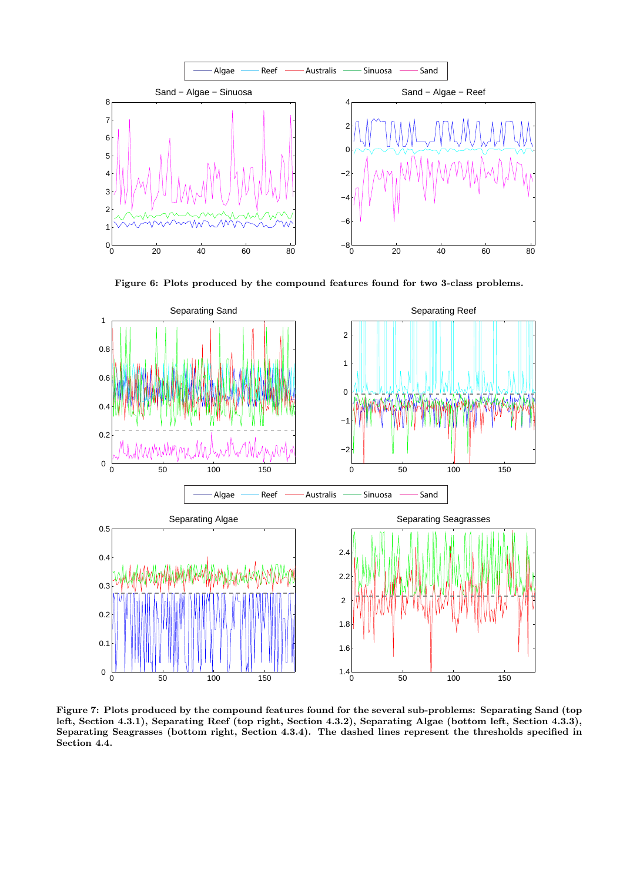

Figure 6: Plots produced by the compound features found for two 3-class problems.



Figure 7: Plots produced by the compound features found for the several sub-problems: Separating Sand (top left, Section 4.3.1), Separating Reef (top right, Section 4.3.2), Separating Algae (bottom left, Section 4.3.3), Separating Seagrasses (bottom right, Section 4.3.4). The dashed lines represent the thresholds specified in Section 4.4.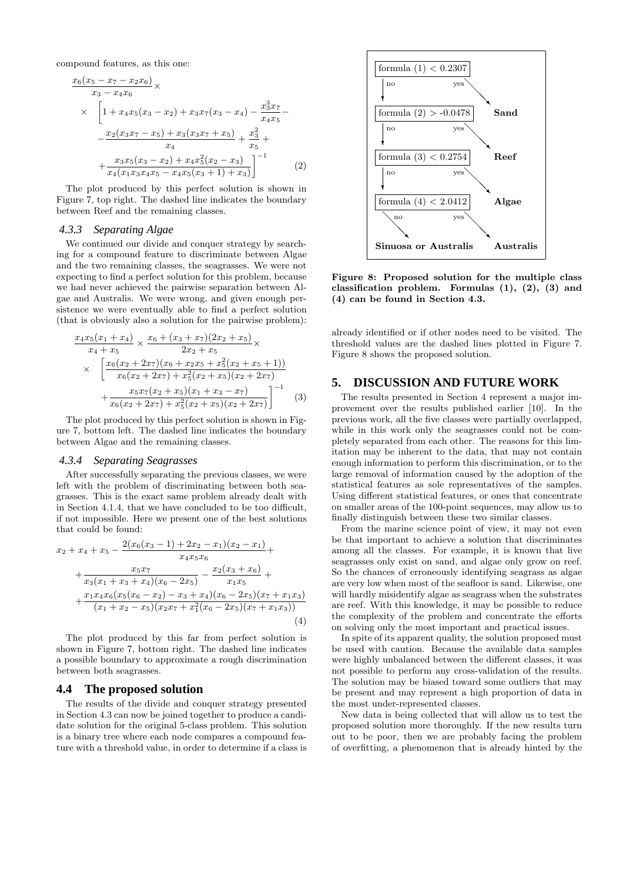compound features, as this one:

$$
\frac{x_6(x_5 - x_7 - x_2x_6)}{x_3 - x_4x_6} \times
$$
\n
$$
\times \left[ 1 + x_4x_5(x_3 - x_2) + x_3x_7(x_3 - x_4) - \frac{x_3^3x_7}{x_4x_5} - \frac{x_2(x_3x_7 - x_5) + x_3(x_3x_7 + x_5)}{x_4} + \frac{x_3^2}{x_5} + \frac{x_3x_5(x_3 - x_2) + x_4x_5^2(x_2 - x_3)}{x_4(x_1x_3x_4x_5 - x_4x_5(x_3 + 1) + x_3)} \right]^{-1} \tag{2}
$$

The plot produced by this perfect solution is shown in Figure 7, top right. The dashed line indicates the boundary between Reef and the remaining classes.

#### *4.3.3 Separating Algae*

We continued our divide and conquer strategy by searching for a compound feature to discriminate between Algae and the two remaining classes, the seagrasses. We were not expecting to find a perfect solution for this problem, because we had never achieved the pairwise separation between Algae and Australis. We were wrong, and given enough persistence we were eventually able to find a perfect solution (that is obviously also a solution for the pairwise problem):

$$
\frac{x_4x_5(x_1+x_4)}{x_4+x_5} \times \frac{x_6+(x_3+x_7)(2x_2+x_5)}{2x_2+x_5} \times \frac{[x_6(x_2+2x_7)(x_6+x_2x_5+x_5^2(x_2+x_5+1))}{x_6(x_2+2x_7)+x_5^2(x_2+x_5)(x_2+2x_7)} + \frac{x_5x_7(x_2+x_5)(x_1+x_3-x_7)}{x_6(x_2+2x_7)+x_5^2(x_2+x_5)(x_2+2x_7)} \bigg]^{-1}
$$
(3)

The plot produced by this perfect solution is shown in Figure 7, bottom left. The dashed line indicates the boundary between Algae and the remaining classes.

#### *4.3.4 Separating Seagrasses*

After successfully separating the previous classes, we were left with the problem of discriminating between both seagrasses. This is the exact same problem already dealt with in Section 4.1.4, that we have concluded to be too difficult, if not impossible. Here we present one of the best solutions that could be found:

$$
x_2 + x_4 + x_5 - \frac{2(x_6(x_3 - 1) + 2x_2 - x_1)(x_2 - x_1)}{x_4x_5x_6} + \frac{x_5x_7}{x_3(x_1 + x_3 + x_4)(x_6 - 2x_5)} - \frac{x_2(x_3 + x_6)}{x_1x_5} + \frac{x_1x_4x_6(x_5(x_6 - x_2) - x_3 + x_4)(x_6 - 2x_5)(x_7 + x_1x_3)}{(x_1 + x_2 - x_5)(x_2x_7 + x_1^2(x_6 - 2x_5)(x_7 + x_1x_3))}
$$
\n(4)

The plot produced by this far from perfect solution is shown in Figure 7, bottom right. The dashed line indicates a possible boundary to approximate a rough discrimination between both seagrasses.

### **4.4 The proposed solution**

The results of the divide and conquer strategy presented in Section 4.3 can now be joined together to produce a candidate solution for the original 5-class problem. This solution is a binary tree where each node compares a compound feature with a threshold value, in order to determine if a class is



Figure 8: Proposed solution for the multiple class classification problem. Formulas (1), (2), (3) and (4) can be found in Section 4.3.

already identified or if other nodes need to be visited. The threshold values are the dashed lines plotted in Figure 7. Figure 8 shows the proposed solution.

# **5. DISCUSSION AND FUTURE WORK**

The results presented in Section 4 represent a major improvement over the results published earlier [10]. In the previous work, all the five classes were partially overlapped, while in this work only the seagrasses could not be completely separated from each other. The reasons for this limitation may be inherent to the data, that may not contain enough information to perform this discrimination, or to the large removal of information caused by the adoption of the statistical features as sole representatives of the samples. Using different statistical features, or ones that concentrate on smaller areas of the 100-point sequences, may allow us to finally distinguish between these two similar classes.

From the marine science point of view, it may not even be that important to achieve a solution that discriminates among all the classes. For example, it is known that live seagrasses only exist on sand, and algae only grow on reef. So the chances of erroneously identifying seagrass as algae are very low when most of the seafloor is sand. Likewise, one will hardly misidentify algae as seagrass when the substrates are reef. With this knowledge, it may be possible to reduce the complexity of the problem and concentrate the efforts on solving only the most important and practical issues.

In spite of its apparent quality, the solution proposed must be used with caution. Because the available data samples were highly unbalanced between the different classes, it was not possible to perform any cross-validation of the results. The solution may be biased toward some outliers that may be present and may represent a high proportion of data in the most under-represented classes.

New data is being collected that will allow us to test the proposed solution more thoroughly. If the new results turn out to be poor, then we are probably facing the problem of overfitting, a phenomenon that is already hinted by the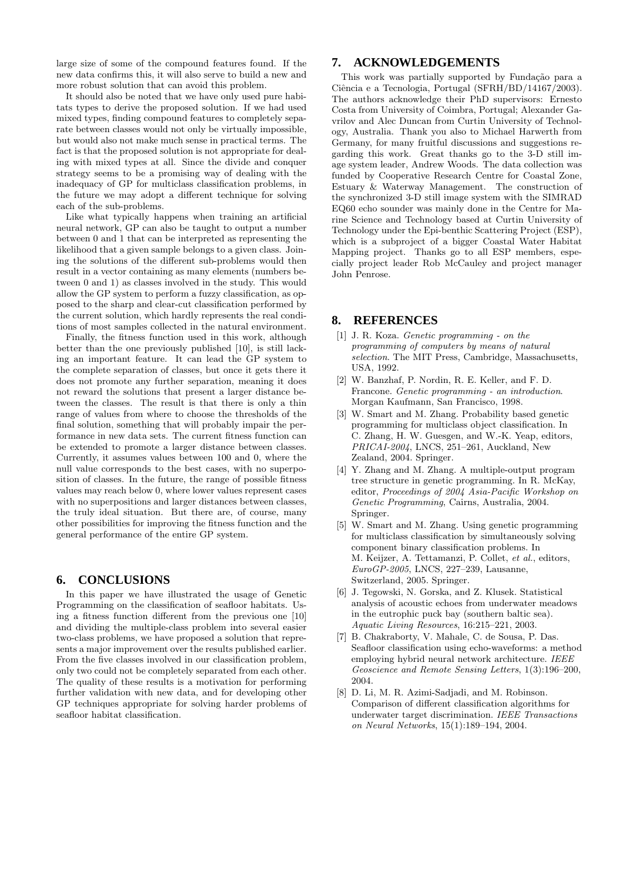large size of some of the compound features found. If the new data confirms this, it will also serve to build a new and more robust solution that can avoid this problem.

It should also be noted that we have only used pure habitats types to derive the proposed solution. If we had used mixed types, finding compound features to completely separate between classes would not only be virtually impossible, but would also not make much sense in practical terms. The fact is that the proposed solution is not appropriate for dealing with mixed types at all. Since the divide and conquer strategy seems to be a promising way of dealing with the inadequacy of GP for multiclass classification problems, in the future we may adopt a different technique for solving each of the sub-problems.

Like what typically happens when training an artificial neural network, GP can also be taught to output a number between 0 and 1 that can be interpreted as representing the likelihood that a given sample belongs to a given class. Joining the solutions of the different sub-problems would then result in a vector containing as many elements (numbers between 0 and 1) as classes involved in the study. This would allow the GP system to perform a fuzzy classification, as opposed to the sharp and clear-cut classification performed by the current solution, which hardly represents the real conditions of most samples collected in the natural environment.

Finally, the fitness function used in this work, although better than the one previously published [10], is still lacking an important feature. It can lead the GP system to the complete separation of classes, but once it gets there it does not promote any further separation, meaning it does not reward the solutions that present a larger distance between the classes. The result is that there is only a thin range of values from where to choose the thresholds of the final solution, something that will probably impair the performance in new data sets. The current fitness function can be extended to promote a larger distance between classes. Currently, it assumes values between 100 and 0, where the null value corresponds to the best cases, with no superposition of classes. In the future, the range of possible fitness values may reach below 0, where lower values represent cases with no superpositions and larger distances between classes. the truly ideal situation. But there are, of course, many other possibilities for improving the fitness function and the general performance of the entire GP system.

# **6. CONCLUSIONS**

In this paper we have illustrated the usage of Genetic Programming on the classification of seafloor habitats. Using a fitness function different from the previous one [10] and dividing the multiple-class problem into several easier two-class problems, we have proposed a solution that represents a major improvement over the results published earlier. From the five classes involved in our classification problem, only two could not be completely separated from each other. The quality of these results is a motivation for performing further validation with new data, and for developing other GP techniques appropriate for solving harder problems of seafloor habitat classification.

# **7. ACKNOWLEDGEMENTS**

This work was partially supported by Fundação para a Ciência e a Tecnologia, Portugal (SFRH/BD/14167/2003). The authors acknowledge their PhD supervisors: Ernesto Costa from University of Coimbra, Portugal; Alexander Gavrilov and Alec Duncan from Curtin University of Technology, Australia. Thank you also to Michael Harwerth from Germany, for many fruitful discussions and suggestions regarding this work. Great thanks go to the 3-D still image system leader, Andrew Woods. The data collection was funded by Cooperative Research Centre for Coastal Zone, Estuary & Waterway Management. The construction of the synchronized 3-D still image system with the SIMRAD EQ60 echo sounder was mainly done in the Centre for Marine Science and Technology based at Curtin University of Technology under the Epi-benthic Scattering Project (ESP), which is a subproject of a bigger Coastal Water Habitat Mapping project. Thanks go to all ESP members, especially project leader Rob McCauley and project manager John Penrose.

# **8. REFERENCES**

- [1] J. R. Koza. Genetic programming on the programming of computers by means of natural selection. The MIT Press, Cambridge, Massachusetts, USA, 1992.
- [2] W. Banzhaf, P. Nordin, R. E. Keller, and F. D. Francone. Genetic programming - an introduction. Morgan Kaufmann, San Francisco, 1998.
- [3] W. Smart and M. Zhang. Probability based genetic programming for multiclass object classification. In C. Zhang, H. W. Guesgen, and W.-K. Yeap, editors, PRICAI-2004, LNCS, 251–261, Auckland, New Zealand, 2004. Springer.
- [4] Y. Zhang and M. Zhang. A multiple-output program tree structure in genetic programming. In R. McKay, editor, Proceedings of 2004 Asia-Pacific Workshop on Genetic Programming, Cairns, Australia, 2004. Springer.
- [5] W. Smart and M. Zhang. Using genetic programming for multiclass classification by simultaneously solving component binary classification problems. In M. Keijzer, A. Tettamanzi, P. Collet, et al., editors, EuroGP-2005, LNCS, 227–239, Lausanne, Switzerland, 2005. Springer.
- [6] J. Tegowski, N. Gorska, and Z. Klusek. Statistical analysis of acoustic echoes from underwater meadows in the eutrophic puck bay (southern baltic sea). Aquatic Living Resources, 16:215–221, 2003.
- [7] B. Chakraborty, V. Mahale, C. de Sousa, P. Das. Seafloor classification using echo-waveforms: a method employing hybrid neural network architecture. IEEE Geoscience and Remote Sensing Letters, 1(3):196–200, 2004.
- [8] D. Li, M. R. Azimi-Sadjadi, and M. Robinson. Comparison of different classification algorithms for underwater target discrimination. IEEE Transactions on Neural Networks, 15(1):189–194, 2004.